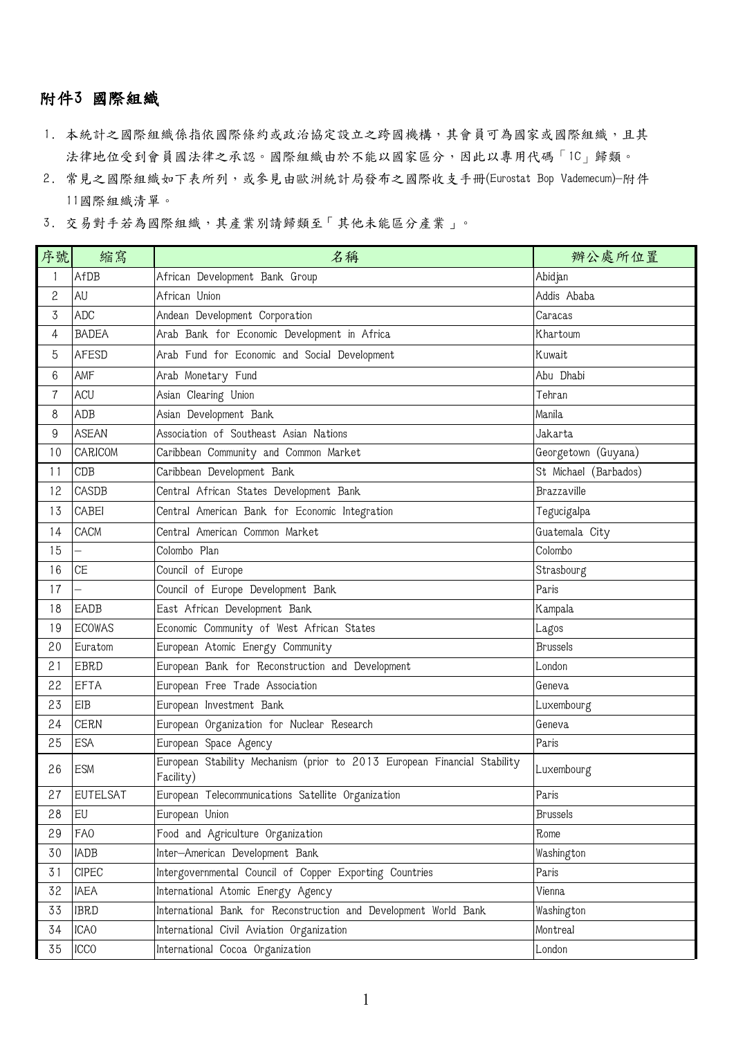## 附件3 國際組織

- 1. 本統計之國際組織係指依國際條約或政治協定設立之跨國機構,其會員可為國家或國際組織,且其 法律地位受到會員國法律之承認。國際組織由於不能以國家區分,因此以專用代碼「1C」歸類。
- 2. 常見之國際組織如下表所列,或參見由歐洲統計局發布之國際收支手冊(Eurostat Bop Vademecum)-附件 國際組織清單。
- 3. 交易對手若為國際組織,其產業別請歸類至「其他未能區分產業」。

| 序號             | 縮寫               | 名稱                                                                                    | 辦公處所位置                |
|----------------|------------------|---------------------------------------------------------------------------------------|-----------------------|
| 1              | AfDB             | African Development Bank Group                                                        | Abidjan               |
| 2              | AU               | African Union                                                                         | Addis Ababa           |
| 3              | ADC              | Andean Development Corporation                                                        | Caracas               |
| 4              | <b>BADEA</b>     | Arab Bank for Economic Development in Africa                                          | Khartoum              |
| 5              | <b>AFESD</b>     | Arab Fund for Economic and Social Development                                         | Kuwait                |
| 6              | AMF              | Arab Monetary Fund                                                                    | Abu Dhabi             |
| $\overline{7}$ | ACU              | Asian Clearing Union                                                                  | Tehran                |
| 8              | ADB              | Asian Development Bank                                                                | Manila                |
| 9              | <b>ASEAN</b>     | Association of Southeast Asian Nations                                                | Jakarta               |
| 10             | CARICOM          | Caribbean Community and Common Market                                                 | Georgetown (Guyana)   |
| 11             | CDB              | Caribbean Development Bank                                                            | St Michael (Barbados) |
| 12             | CASDB            | Central African States Development Bank                                               | Brazzaville           |
| 13             | CABEI            | Central American Bank for Economic Integration                                        | Tegucigalpa           |
| 14             | CACM             | Central American Common Market                                                        | Guatemala City        |
| 15             |                  | Colombo Plan                                                                          | Colombo               |
| 16             | <b>CE</b>        | Council of Europe                                                                     | Strasbourg            |
| 17             |                  | Council of Europe Development Bank                                                    | Paris                 |
| 18             | EADB             | East African Development Bank                                                         | Kampala               |
| 19             | <b>ECOWAS</b>    | Economic Community of West African States                                             | Lagos                 |
| 20             | Euratom          | European Atomic Energy Community                                                      | <b>Brussels</b>       |
| 21             | EBRD             | European Bank for Reconstruction and Development                                      | London                |
| 22             | <b>EFTA</b>      | European Free Trade Association                                                       | Geneva                |
| 23             | EIB              | European Investment Bank                                                              | Luxembourg            |
| 24             | <b>CERN</b>      | European Organization for Nuclear Research                                            | Geneva                |
| 25             | <b>ESA</b>       | European Space Agency                                                                 | Paris                 |
| 26             | <b>ESM</b>       | European Stability Mechanism (prior to 2013 European Financial Stability<br>Facility) | Luxembourg            |
| 27             | <b>EUTELSAT</b>  | European Telecommunications Satellite Organization                                    | Paris                 |
| 28             | EU               | European Union                                                                        | <b>Brussels</b>       |
| 29             | FA <sub>0</sub>  | Food and Agriculture Organization                                                     | Rome                  |
| 30             | IADB             | Inter-American Development Bank                                                       | Washington            |
| 31             | $C$ $PEC$        | Intergovernmental Council of Copper Exporting Countries                               | Paris                 |
| 32             | <b>IAEA</b>      | International Atomic Energy Agency                                                    | Vienna                |
| 33             | <b>IBRD</b>      | International Bank for Reconstruction and Development World Bank                      | Washington            |
| 34             | ICA <sub>0</sub> | International Civil Aviation Organization                                             | Montreal              |
| 35             | <b>ICCO</b>      | International Cocoa Organization                                                      | London                |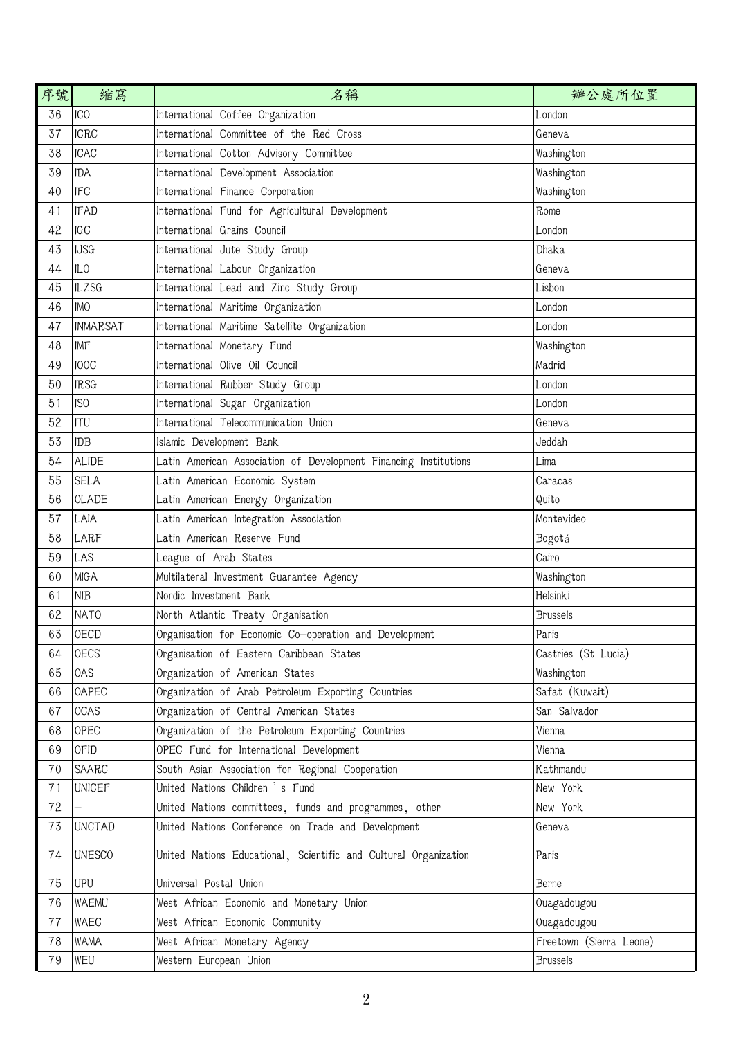| 序號 | 縮寫              | 名稱                                                               | 辦公處所位置                  |
|----|-----------------|------------------------------------------------------------------|-------------------------|
| 36 | ICO             | International Coffee Organization                                | London                  |
| 37 | <b>ICRC</b>     | International Committee of the Red Cross                         | Geneva                  |
| 38 | <b>ICAC</b>     | International Cotton Advisory Committee                          | Washington              |
| 39 | <b>IDA</b>      | International Development Association                            | Washington              |
| 40 | <b>IFC</b>      | International Finance Corporation                                | Washington              |
| 41 | <b>IFAD</b>     | International Fund for Agricultural Development                  | Rome                    |
| 42 | IGC             | International Grains Council                                     | London                  |
| 43 | <b>IJSG</b>     | International Jute Study Group                                   | Dhaka                   |
| 44 | ILO             | International Labour Organization                                | Geneva                  |
| 45 | <b>ILZSG</b>    | International Lead and Zinc Study Group                          | Lisbon                  |
| 46 | <b>IMO</b>      | International Maritime Organization                              | London                  |
| 47 | <b>INMARSAT</b> | International Maritime Satellite Organization                    | London                  |
| 48 | IMF             | International Monetary Fund                                      | Washington              |
| 49 | <b>IOOC</b>     | International Olive Oil Council                                  | Madrid                  |
| 50 | <b>IRSG</b>     | International Rubber Study Group                                 | London                  |
| 51 | IS <sub>0</sub> | International Sugar Organization                                 | London                  |
| 52 | ITU             | International Telecommunication Union                            | Geneva                  |
| 53 | <b>IDB</b>      | Islamic Development Bank                                         | Jeddah                  |
| 54 | <b>ALIDE</b>    | Latin American Association of Development Financing Institutions | Lima                    |
| 55 | <b>SELA</b>     | Latin American Economic System                                   | Caracas                 |
|    |                 |                                                                  |                         |
| 56 | <b>OLADE</b>    | Latin American Energy Organization                               | Quito                   |
| 57 | LAIA            | Latin American Integration Association                           | Montevideo              |
| 58 | LARF            | Latin American Reserve Fund                                      | Bogotá                  |
| 59 | LAS             | League of Arab States                                            | Cairo                   |
| 60 | <b>MIGA</b>     | Multilateral Investment Guarantee Agency                         | Washington              |
| 61 | <b>NIB</b>      | Nordic Investment Bank                                           | Helsinki                |
| 62 | <b>NATO</b>     | North Atlantic Treaty Organisation                               | <b>Brussels</b>         |
| 63 | <b>OECD</b>     | Organisation for Economic Co-operation and Development           | Paris                   |
| 64 | <b>OECS</b>     | Organisation of Eastern Caribbean States                         | Castries (St Lucia)     |
| 65 | 0AS             | Organization of American States                                  | Washington              |
| 66 | <b>OAPEC</b>    | Organization of Arab Petroleum Exporting Countries               | Safat (Kuwait)          |
| 67 | <b>OCAS</b>     | Organization of Central American States                          | San Salvador            |
| 68 | <b>OPEC</b>     | Organization of the Petroleum Exporting Countries                | Vienna                  |
| 69 | <b>OFID</b>     | OPEC Fund for International Development                          | Vienna                  |
| 70 | SAARC           | South Asian Association for Regional Cooperation                 | Kathmandu               |
| 71 | <b>UNICEF</b>   | United Nations Children 's Fund                                  | New York                |
| 72 |                 | United Nations committees, funds and programmes, other           | New York                |
| 73 | <b>UNCTAD</b>   | United Nations Conference on Trade and Development               | Geneva                  |
| 74 | <b>UNESCO</b>   | United Nations Educational, Scientific and Cultural Organization | Paris                   |
| 75 | <b>UPU</b>      | Universal Postal Union                                           | Berne                   |
| 76 | WAEMU           | West African Economic and Monetary Union                         | Ouagadougou             |
| 77 | WAEC            | West African Economic Community                                  | Ouagadougou             |
| 78 | <b>WAMA</b>     | West African Monetary Agency                                     | Freetown (Sierra Leone) |
| 79 | WEU             | Western European Union                                           | <b>Brussels</b>         |
|    |                 |                                                                  |                         |